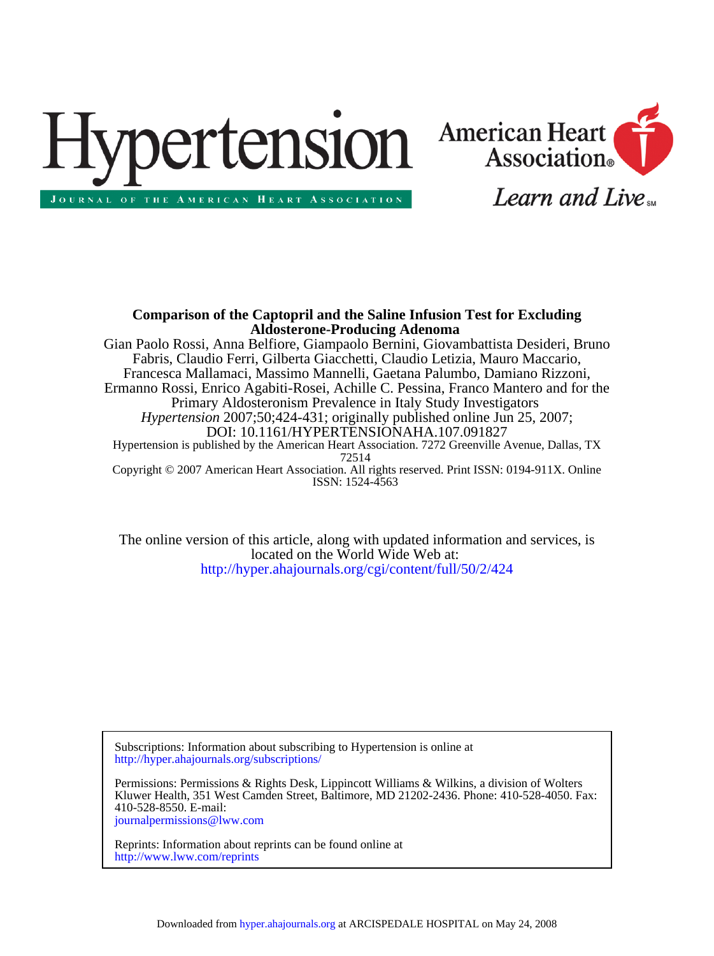



Learn and Live

## ISSN: 1524-4563 Copyright © 2007 American Heart Association. All rights reserved. Print ISSN: 0194-911X. Online 72514 Hypertension is published by the American Heart Association. 7272 Greenville Avenue, Dallas, TX DOI: 10.1161/HYPERTENSIONAHA.107.091827 *Hypertension* 2007;50;424-431; originally published online Jun 25, 2007; Primary Aldosteronism Prevalence in Italy Study Investigators Ermanno Rossi, Enrico Agabiti-Rosei, Achille C. Pessina, Franco Mantero and for the Francesca Mallamaci, Massimo Mannelli, Gaetana Palumbo, Damiano Rizzoni, Fabris, Claudio Ferri, Gilberta Giacchetti, Claudio Letizia, Mauro Maccario, Gian Paolo Rossi, Anna Belfiore, Giampaolo Bernini, Giovambattista Desideri, Bruno **Aldosterone-Producing Adenoma Comparison of the Captopril and the Saline Infusion Test for Excluding**

<http://hyper.ahajournals.org/cgi/content/full/50/2/424> located on the World Wide Web at: The online version of this article, along with updated information and services, is

<http://hyper.ahajournals.org/subscriptions/> Subscriptions: Information about subscribing to Hypertension is online at

[journalpermissions@lww.com](mailto:journalpermissions@lww.com) 410-528-8550. E-mail: Kluwer Health, 351 West Camden Street, Baltimore, MD 21202-2436. Phone: 410-528-4050. Fax: Permissions: Permissions & Rights Desk, Lippincott Williams & Wilkins, a division of Wolters

<http://www.lww.com/reprints> Reprints: Information about reprints can be found online at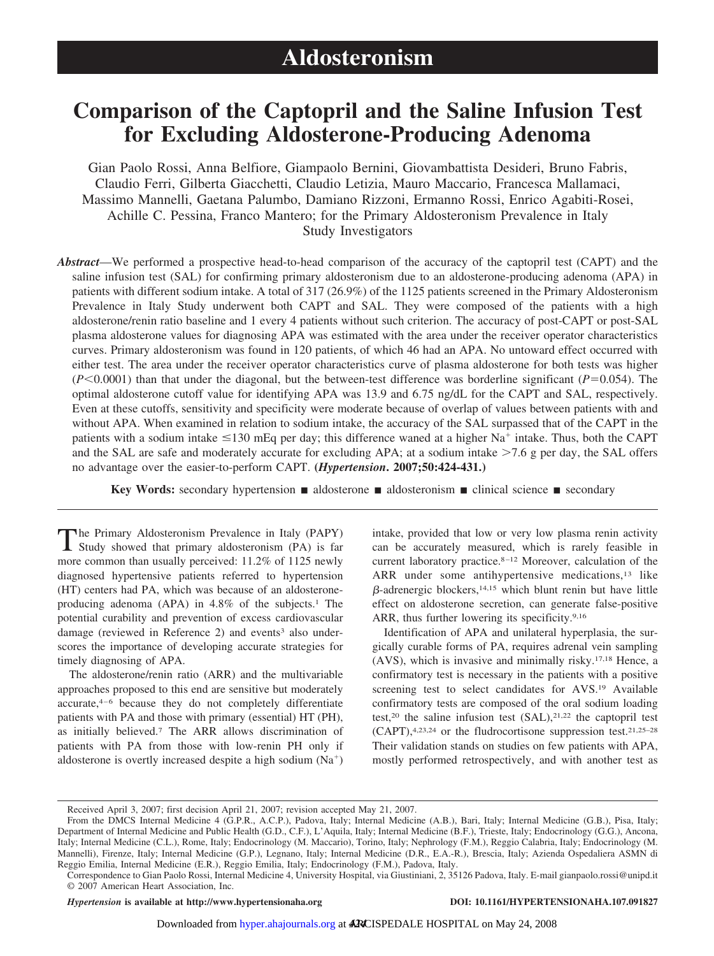# **Comparison of the Captopril and the Saline Infusion Test for Excluding Aldosterone-Producing Adenoma**

Gian Paolo Rossi, Anna Belfiore, Giampaolo Bernini, Giovambattista Desideri, Bruno Fabris, Claudio Ferri, Gilberta Giacchetti, Claudio Letizia, Mauro Maccario, Francesca Mallamaci, Massimo Mannelli, Gaetana Palumbo, Damiano Rizzoni, Ermanno Rossi, Enrico Agabiti-Rosei, Achille C. Pessina, Franco Mantero; for the Primary Aldosteronism Prevalence in Italy Study Investigators

*Abstract*—We performed a prospective head-to-head comparison of the accuracy of the captopril test (CAPT) and the saline infusion test (SAL) for confirming primary aldosteronism due to an aldosterone-producing adenoma (APA) in patients with different sodium intake. A total of 317 (26.9%) of the 1125 patients screened in the Primary Aldosteronism Prevalence in Italy Study underwent both CAPT and SAL. They were composed of the patients with a high aldosterone/renin ratio baseline and 1 every 4 patients without such criterion. The accuracy of post-CAPT or post-SAL plasma aldosterone values for diagnosing APA was estimated with the area under the receiver operator characteristics curves. Primary aldosteronism was found in 120 patients, of which 46 had an APA. No untoward effect occurred with either test. The area under the receiver operator characteristics curve of plasma aldosterone for both tests was higher  $(P< 0.0001)$  than that under the diagonal, but the between-test difference was borderline significant  $(P=0.054)$ . The optimal aldosterone cutoff value for identifying APA was 13.9 and 6.75 ng/dL for the CAPT and SAL, respectively. Even at these cutoffs, sensitivity and specificity were moderate because of overlap of values between patients with and without APA. When examined in relation to sodium intake, the accuracy of the SAL surpassed that of the CAPT in the patients with a sodium intake  $\leq 130$  mEq per day; this difference waned at a higher Na<sup>+</sup> intake. Thus, both the CAPT and the SAL are safe and moderately accurate for excluding APA; at a sodium intake >7.6 g per day, the SAL offers no advantage over the easier-to-perform CAPT. **(***Hypertension***. 2007;50:424-431.)**

**Key Words:** secondary hypertension ■ aldosterone ■ aldosteronism ■ clinical science ■ secondary

The Primary Aldosteronism Prevalence in Italy (PAPY) Study showed that primary aldosteronism (PA) is far more common than usually perceived: 11.2% of 1125 newly diagnosed hypertensive patients referred to hypertension (HT) centers had PA, which was because of an aldosteroneproducing adenoma (APA) in 4.8% of the subjects.1 The potential curability and prevention of excess cardiovascular damage (reviewed in Reference 2) and events<sup>3</sup> also underscores the importance of developing accurate strategies for timely diagnosing of APA.

The aldosterone/renin ratio (ARR) and the multivariable approaches proposed to this end are sensitive but moderately accurate,4–6 because they do not completely differentiate patients with PA and those with primary (essential) HT (PH), as initially believed.7 The ARR allows discrimination of patients with PA from those with low-renin PH only if aldosterone is overtly increased despite a high sodium  $(Na^+)$  intake, provided that low or very low plasma renin activity can be accurately measured, which is rarely feasible in current laboratory practice.8 –12 Moreover, calculation of the ARR under some antihypertensive medications,13 like  $\beta$ -adrenergic blockers,<sup>14,15</sup> which blunt renin but have little effect on aldosterone secretion, can generate false-positive ARR, thus further lowering its specificity.9,16

Identification of APA and unilateral hyperplasia, the surgically curable forms of PA, requires adrenal vein sampling (AVS), which is invasive and minimally risky.17,18 Hence, a confirmatory test is necessary in the patients with a positive screening test to select candidates for AVS.19 Available confirmatory tests are composed of the oral sodium loading test,<sup>20</sup> the saline infusion test  $(SAL)$ ,<sup>21,22</sup> the captopril test  $(CAPT)$ , 4,23,24 or the fludrocortisone suppression test. 21,25–28 Their validation stands on studies on few patients with APA, mostly performed retrospectively, and with another test as

*Hypertension* **is available at http://www.hypertensionaha.org DOI: 10.1161/HYPERTENSIONAHA.107.091827**

Received April 3, 2007; first decision April 21, 2007; revision accepted May 21, 2007.

From the DMCS Internal Medicine 4 (G.P.R., A.C.P.), Padova, Italy; Internal Medicine (A.B.), Bari, Italy; Internal Medicine (G.B.), Pisa, Italy; Department of Internal Medicine and Public Health (G.D., C.F.), L'Aquila, Italy; Internal Medicine (B.F.), Trieste, Italy; Endocrinology (G.G.), Ancona, Italy; Internal Medicine (C.L.), Rome, Italy; Endocrinology (M. Maccario), Torino, Italy; Nephrology (F.M.), Reggio Calabria, Italy; Endocrinology (M. Mannelli), Firenze, Italy; Internal Medicine (G.P.), Legnano, Italy; Internal Medicine (D.R., E.A.-R.), Brescia, Italy; Azienda Ospedaliera ASMN di Reggio Emilia, Internal Medicine (E.R.), Reggio Emilia, Italy; Endocrinology (F.M.), Padova, Italy.

Correspondence to Gian Paolo Rossi, Internal Medicine 4, University Hospital, via Giustiniani, 2, 35126 Padova, Italy. E-mail gianpaolo.rossi@unipd.it © 2007 American Heart Association, Inc.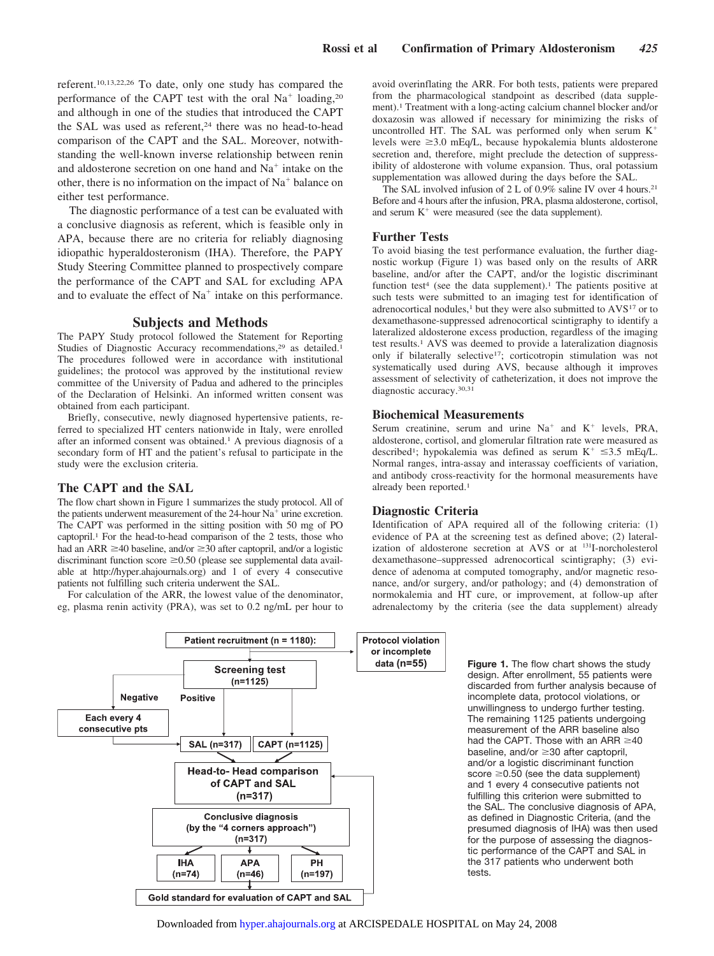referent.10,13,22,26 To date, only one study has compared the performance of the CAPT test with the oral  $Na<sup>+</sup>$  loading,<sup>20</sup> and although in one of the studies that introduced the CAPT the SAL was used as referent,<sup>24</sup> there was no head-to-head comparison of the CAPT and the SAL. Moreover, notwithstanding the well-known inverse relationship between renin and aldosterone secretion on one hand and  $Na<sup>+</sup>$  intake on the other, there is no information on the impact of  $Na<sup>+</sup>$  balance on either test performance.

The diagnostic performance of a test can be evaluated with a conclusive diagnosis as referent, which is feasible only in APA, because there are no criteria for reliably diagnosing idiopathic hyperaldosteronism (IHA). Therefore, the PAPY Study Steering Committee planned to prospectively compare the performance of the CAPT and SAL for excluding APA and to evaluate the effect of  $Na<sup>+</sup>$  intake on this performance.

#### **Subjects and Methods**

The PAPY Study protocol followed the Statement for Reporting Studies of Diagnostic Accuracy recommendations,<sup>29</sup> as detailed.<sup>1</sup> The procedures followed were in accordance with institutional guidelines; the protocol was approved by the institutional review committee of the University of Padua and adhered to the principles of the Declaration of Helsinki. An informed written consent was obtained from each participant.

Briefly, consecutive, newly diagnosed hypertensive patients, referred to specialized HT centers nationwide in Italy, were enrolled after an informed consent was obtained.1 A previous diagnosis of a secondary form of HT and the patient's refusal to participate in the study were the exclusion criteria.

## **The CAPT and the SAL**

The flow chart shown in Figure 1 summarizes the study protocol. All of the patients underwent measurement of the  $24$ -hour Na<sup>+</sup> urine excretion. The CAPT was performed in the sitting position with 50 mg of PO captopril.1 For the head-to-head comparison of the 2 tests, those who had an ARR  $\geq$ 40 baseline, and/or  $\geq$ 30 after captopril, and/or a logistic discriminant function score  $\geq 0.50$  (please see supplemental data available at http://hyper.ahajournals.org) and 1 of every 4 consecutive patients not fulfilling such criteria underwent the SAL.

For calculation of the ARR, the lowest value of the denominator, eg, plasma renin activity (PRA), was set to 0.2 ng/mL per hour to

Patient recruitment (n = 1180): **Protocol violation** or incomplete data (n=55) **Screening test**  $(n=1125)$ **Negative Positive** Each every 4 consecutive pts CAPT (n=1125) SAL (n=317) **Head-to-Head comparison** of CAPT and SAL  $(n=317)$ **Conclusive diagnosis** (by the "4 corners approach")  $(n=317)$ مد **IHA APA** PH  $(n=74)$  $(n=46)$  $(n=197)$ Gold standard for evaluation of CAPT and SAL

avoid overinflating the ARR. For both tests, patients were prepared from the pharmacological standpoint as described (data supplement).1 Treatment with a long-acting calcium channel blocker and/or doxazosin was allowed if necessary for minimizing the risks of uncontrolled HT. The SAL was performed only when serum  $K^+$ levels were  $\geq 3.0$  mEq/L, because hypokalemia blunts aldosterone secretion and, therefore, might preclude the detection of suppressibility of aldosterone with volume expansion. Thus, oral potassium supplementation was allowed during the days before the SAL.

The SAL involved infusion of 2 L of 0.9% saline IV over 4 hours.<sup>21</sup> Before and 4 hours after the infusion, PRA, plasma aldosterone, cortisol, and serum  $K<sup>+</sup>$  were measured (see the data supplement).

#### **Further Tests**

To avoid biasing the test performance evaluation, the further diagnostic workup (Figure 1) was based only on the results of ARR baseline, and/or after the CAPT, and/or the logistic discriminant function test<sup>4</sup> (see the data supplement).<sup>1</sup> The patients positive at such tests were submitted to an imaging test for identification of adrenocortical nodules, $1$  but they were also submitted to  $AVS<sup>17</sup>$  or to dexamethasone-suppressed adrenocortical scintigraphy to identify a lateralized aldosterone excess production, regardless of the imaging test results.1 AVS was deemed to provide a lateralization diagnosis only if bilaterally selective<sup>17</sup>; corticotropin stimulation was not systematically used during AVS, because although it improves assessment of selectivity of catheterization, it does not improve the diagnostic accuracy.<sup>30,31</sup>

#### **Biochemical Measurements**

Serum creatinine, serum and urine  $Na<sup>+</sup>$  and  $K<sup>+</sup>$  levels, PRA, aldosterone, cortisol, and glomerular filtration rate were measured as described<sup>1</sup>; hypokalemia was defined as serum  $K^+ \leq 3.5$  mEq/L. Normal ranges, intra-assay and interassay coefficients of variation, and antibody cross-reactivity for the hormonal measurements have already been reported.<sup>1</sup>

#### **Diagnostic Criteria**

Identification of APA required all of the following criteria: (1) evidence of PA at the screening test as defined above; (2) lateralization of aldosterone secretion at AVS or at 131I-norcholesterol dexamethasone–suppressed adrenocortical scintigraphy; (3) evidence of adenoma at computed tomography, and/or magnetic resonance, and/or surgery, and/or pathology; and (4) demonstration of normokalemia and HT cure, or improvement, at follow-up after adrenalectomy by the criteria (see the data supplement) already

> **Figure 1.** The flow chart shows the study design. After enrollment, 55 patients were discarded from further analysis because of incomplete data, protocol violations, or unwillingness to undergo further testing. The remaining 1125 patients undergoing measurement of the ARR baseline also had the CAPT. Those with an ARR  $\geq 40$ baseline, and/or  $\geq$  30 after captopril, and/or a logistic discriminant function score  $\geq 0.50$  (see the data supplement) and 1 every 4 consecutive patients not fulfilling this criterion were submitted to the SAL. The conclusive diagnosis of APA, as defined in Diagnostic Criteria, (and the presumed diagnosis of IHA) was then used for the purpose of assessing the diagnostic performance of the CAPT and SAL in the 317 patients who underwent both tests.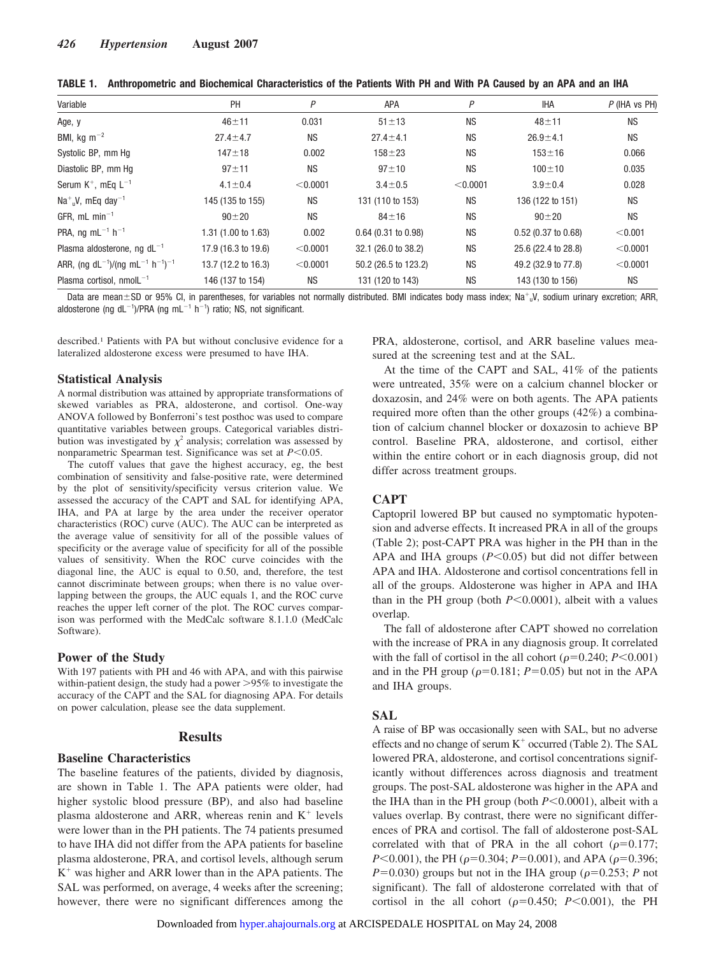| Variable                                                                         | PH                  | P         | <b>APA</b>            | Ρ         | IHA                   | $P$ (IHA vs PH) |
|----------------------------------------------------------------------------------|---------------------|-----------|-----------------------|-----------|-----------------------|-----------------|
| Age, y                                                                           | $46 + 11$           | 0.031     | $51 \pm 13$           | <b>NS</b> | $48 + 11$             | <b>NS</b>       |
| BMI, kg $m^{-2}$                                                                 | $27.4 \pm 4.7$      | <b>NS</b> | $27.4 \pm 4.1$        | <b>NS</b> | $26.9 + 4.1$          | <b>NS</b>       |
| Systolic BP, mm Hq                                                               | $147 + 18$          | 0.002     | $158 + 23$            | <b>NS</b> | $153 + 16$            | 0.066           |
| Diastolic BP, mm Hq                                                              | $97 + 11$           | <b>NS</b> | $97 + 10$             | <b>NS</b> | $100 + 10$            | 0.035           |
| Serum $K^+$ , mEq $L^{-1}$                                                       | $4.1 \pm 0.4$       | < 0.0001  | $3.4 \pm 0.5$         | < 0.0001  | $3.9 + 0.4$           | 0.028           |
| $Na+$ , V, mEg day <sup>-1</sup>                                                 | 145 (135 to 155)    | <b>NS</b> | 131 (110 to 153)      | <b>NS</b> | 136 (122 to 151)      | <b>NS</b>       |
| $GFR$ , mL min <sup>-1</sup>                                                     | $90 + 20$           | <b>NS</b> | $84 + 16$             | <b>NS</b> | $90 + 20$             | <b>NS</b>       |
| PRA, ng mL <sup>-1</sup> h <sup>-1</sup>                                         | 1.31 (1.00 to 1.63) | 0.002     | $0.64$ (0.31 to 0.98) | <b>NS</b> | $0.52$ (0.37 to 0.68) | < 0.001         |
| Plasma aldosterone, ng $dL^{-1}$                                                 | 17.9 (16.3 to 19.6) | < 0.0001  | 32.1 (26.0 to 38.2)   | <b>NS</b> | 25.6 (22.4 to 28.8)   | < 0.0001        |
| ARR, (ng dL <sup>-1</sup> )/(ng mL <sup>-1</sup> h <sup>-1</sup> ) <sup>-1</sup> | 13.7 (12.2 to 16.3) | < 0.0001  | 50.2 (26.5 to 123.2)  | <b>NS</b> | 49.2 (32.9 to 77.8)   | < 0.0001        |
| Plasma cortisol, $nmolL^{-1}$                                                    | 146 (137 to 154)    | <b>NS</b> | 131 (120 to 143)      | <b>NS</b> | 143 (130 to 156)      | <b>NS</b>       |

**TABLE 1. Anthropometric and Biochemical Characteristics of the Patients With PH and With PA Caused by an APA and an IHA**

Data are mean $\pm$ SD or 95% CI, in parentheses, for variables not normally distributed. BMI indicates body mass index; Na $^+$ <sub>u</sub>V, sodium urinary excretion; ARR, aldosterone (ng dL<sup>-1</sup>)/PRA (ng mL<sup>-1</sup> h<sup>-1</sup>) ratio; NS, not significant.

described.1 Patients with PA but without conclusive evidence for a lateralized aldosterone excess were presumed to have IHA.

#### **Statistical Analysis**

A normal distribution was attained by appropriate transformations of skewed variables as PRA, aldosterone, and cortisol. One-way ANOVA followed by Bonferroni's test posthoc was used to compare quantitative variables between groups. Categorical variables distribution was investigated by  $\chi^2$  analysis; correlation was assessed by nonparametric Spearman test. Significance was set at  $P<0.05$ .

The cutoff values that gave the highest accuracy, eg, the best combination of sensitivity and false-positive rate, were determined by the plot of sensitivity/specificity versus criterion value. We assessed the accuracy of the CAPT and SAL for identifying APA, IHA, and PA at large by the area under the receiver operator characteristics (ROC) curve (AUC). The AUC can be interpreted as the average value of sensitivity for all of the possible values of specificity or the average value of specificity for all of the possible values of sensitivity. When the ROC curve coincides with the diagonal line, the AUC is equal to 0.50, and, therefore, the test cannot discriminate between groups; when there is no value overlapping between the groups, the AUC equals 1, and the ROC curve reaches the upper left corner of the plot. The ROC curves comparison was performed with the MedCalc software 8.1.1.0 (MedCalc Software).

#### **Power of the Study**

With 197 patients with PH and 46 with APA, and with this pairwise within-patient design, the study had a power  $>95\%$  to investigate the accuracy of the CAPT and the SAL for diagnosing APA. For details on power calculation, please see the data supplement.

#### **Results**

#### **Baseline Characteristics**

The baseline features of the patients, divided by diagnosis, are shown in Table 1. The APA patients were older, had higher systolic blood pressure (BP), and also had baseline plasma aldosterone and ARR, whereas renin and  $K^+$  levels were lower than in the PH patients. The 74 patients presumed to have IHA did not differ from the APA patients for baseline plasma aldosterone, PRA, and cortisol levels, although serum  $K<sup>+</sup>$  was higher and ARR lower than in the APA patients. The SAL was performed, on average, 4 weeks after the screening; however, there were no significant differences among the

PRA, aldosterone, cortisol, and ARR baseline values measured at the screening test and at the SAL.

At the time of the CAPT and SAL, 41% of the patients were untreated, 35% were on a calcium channel blocker or doxazosin, and 24% were on both agents. The APA patients required more often than the other groups (42%) a combination of calcium channel blocker or doxazosin to achieve BP control. Baseline PRA, aldosterone, and cortisol, either within the entire cohort or in each diagnosis group, did not differ across treatment groups.

#### **CAPT**

Captopril lowered BP but caused no symptomatic hypotension and adverse effects. It increased PRA in all of the groups (Table 2); post-CAPT PRA was higher in the PH than in the APA and IHA groups  $(P<0.05)$  but did not differ between APA and IHA. Aldosterone and cortisol concentrations fell in all of the groups. Aldosterone was higher in APA and IHA than in the PH group (both  $P<0.0001$ ), albeit with a values overlap.

The fall of aldosterone after CAPT showed no correlation with the increase of PRA in any diagnosis group. It correlated with the fall of cortisol in the all cohort ( $\rho$ =0.240; *P*<0.001) and in the PH group  $(\rho = 0.181; P = 0.05)$  but not in the APA and IHA groups.

#### **SAL**

A raise of BP was occasionally seen with SAL, but no adverse effects and no change of serum  $K^+$  occurred (Table 2). The SAL lowered PRA, aldosterone, and cortisol concentrations significantly without differences across diagnosis and treatment groups. The post-SAL aldosterone was higher in the APA and the IHA than in the PH group (both  $P \le 0.0001$ ), albeit with a values overlap. By contrast, there were no significant differences of PRA and cortisol. The fall of aldosterone post-SAL correlated with that of PRA in the all cohort ( $\rho$ =0.177;  $P \le 0.001$ ), the PH ( $\rho = 0.304$ ;  $P = 0.001$ ), and APA ( $\rho = 0.396$ ;  $P=0.030$ ) groups but not in the IHA group ( $\rho=0.253$ ; *P* not significant). The fall of aldosterone correlated with that of cortisol in the all cohort ( $\rho$ =0.450; *P*<0.001), the PH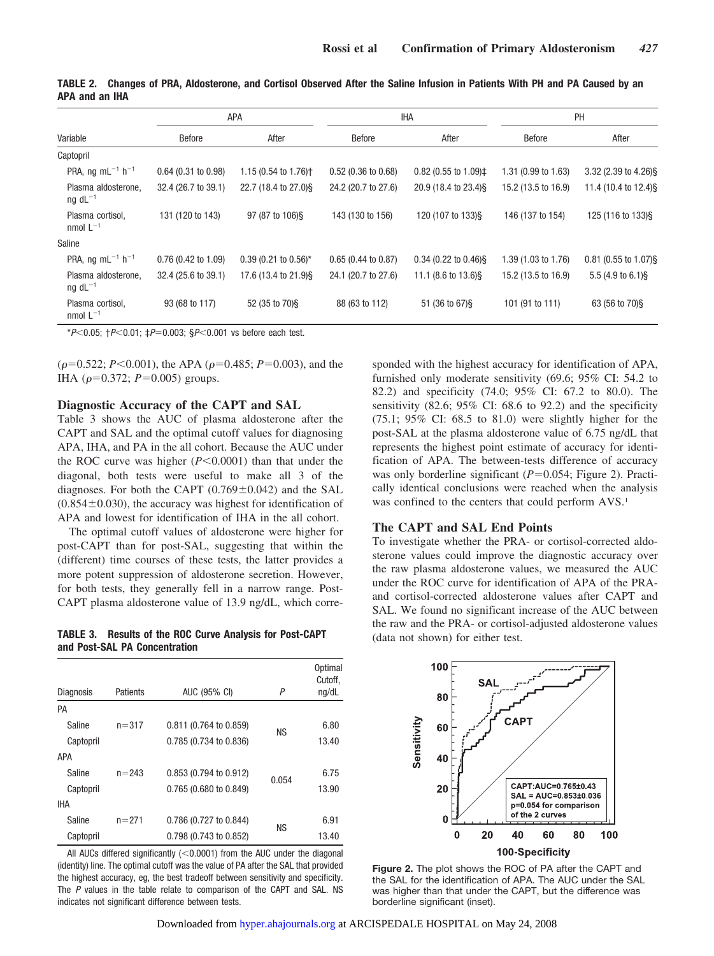|                                          |                       | APA                              |                       | <b>IHA</b>                       | PH                             |                        |
|------------------------------------------|-----------------------|----------------------------------|-----------------------|----------------------------------|--------------------------------|------------------------|
| Variable                                 | <b>Before</b>         | After                            | Before                | After                            | <b>Before</b>                  | After                  |
| Captopril                                |                       |                                  |                       |                                  |                                |                        |
| PRA, ng mL <sup>-1</sup> h <sup>-1</sup> | $0.64$ (0.31 to 0.98) | 1.15 (0.54 to 1.76) <sup>+</sup> | $0.52$ (0.36 to 0.68) | $0.82$ (0.55 to 1.09) $\ddagger$ | 1.31 $(0.99 \text{ to } 1.63)$ | 3.32 (2.39 to 4.26)§   |
| Plasma aldosterone,<br>ng $dL^{-1}$      | 32.4 (26.7 to 39.1)   | 22.7 (18.4 to 27.0)§             | 24.2 (20.7 to 27.6)   | 20.9 (18.4 to 23.4)§             | 15.2 (13.5 to 16.9)            | 11.4 (10.4 to 12.4)§   |
| Plasma cortisol,<br>nmol $L^{-1}$        | 131 (120 to 143)      | 97 (87 to 106)§                  | 143 (130 to 156)      | 120 (107 to 133)§                | 146 (137 to 154)               | 125 (116 to 133)§      |
| Saline                                   |                       |                                  |                       |                                  |                                |                        |
| PRA, ng mL <sup>-1</sup> h <sup>-1</sup> | $0.76$ (0.42 to 1.09) | $0.39$ (0.21 to 0.56)*           | $0.65$ (0.44 to 0.87) | $0.34$ (0.22 to 0.46)§           | 1.39 (1.03 to 1.76)            | $0.81$ (0.55 to 1.07)§ |
| Plasma aldosterone,<br>ng $dL^{-1}$      | 32.4 (25.6 to 39.1)   | 17.6 (13.4 to 21.9)§             | 24.1 (20.7 to 27.6)   | 11.1 (8.6 to 13.6)§              | 15.2 (13.5 to 16.9)            | 5.5 (4.9 to 6.1) $\S$  |
| Plasma cortisol,<br>nmol $L^{-1}$        | 93 (68 to 117)        | 52 (35 to 70)§                   | 88 (63 to 112)        | 51 (36 to 67)§                   | 101 (91 to 111)                | 63 (56 to 70)§         |

|                | TABLE 2. Changes of PRA, Aldosterone, and Cortisol Observed After the Saline Infusion in Patients With PH and PA Caused by an |  |  |  |  |  |  |
|----------------|-------------------------------------------------------------------------------------------------------------------------------|--|--|--|--|--|--|
| APA and an IHA |                                                                                                                               |  |  |  |  |  |  |

\**P*0.05; †*P*0.01; ‡*P*-0.003; §*P*0.001 vs before each test.

 $(\rho = 0.522; P < 0.001)$ , the APA ( $\rho = 0.485; P = 0.003$ ), and the IHA ( $\rho$ =0.372; *P*=0.005) groups.

## **Diagnostic Accuracy of the CAPT and SAL**

Table 3 shows the AUC of plasma aldosterone after the CAPT and SAL and the optimal cutoff values for diagnosing APA, IHA, and PA in the all cohort. Because the AUC under the ROC curve was higher  $(P<0.0001)$  than that under the diagonal, both tests were useful to make all 3 of the diagnoses. For both the CAPT  $(0.769 \pm 0.042)$  and the SAL  $(0.854\pm0.030)$ , the accuracy was highest for identification of APA and lowest for identification of IHA in the all cohort.

The optimal cutoff values of aldosterone were higher for post-CAPT than for post-SAL, suggesting that within the (different) time courses of these tests, the latter provides a more potent suppression of aldosterone secretion. However, for both tests, they generally fell in a narrow range. Post-CAPT plasma aldosterone value of 13.9 ng/dL, which corre-

**TABLE 3. Results of the ROC Curve Analysis for Post-CAPT and Post-SAL PA Concentration**

| <b>Diagnosis</b> | Patients  | AUC (95% CI)             | P         | Optimal<br>Cutoff.<br>nq/dL |
|------------------|-----------|--------------------------|-----------|-----------------------------|
| PA               |           |                          |           |                             |
| Saline           | $n = 317$ | $0.811$ (0.764 to 0.859) | ΝS        | 6.80                        |
| Captopril        |           | 0.785 (0.734 to 0.836)   |           | 13.40                       |
| APA              |           |                          |           |                             |
| Saline           | $n = 243$ | $0.853$ (0.794 to 0.912) | 0.054     | 6.75                        |
| Captopril        |           | 0.765 (0.680 to 0.849)   |           | 13.90                       |
| <b>IHA</b>       |           |                          |           |                             |
| Saline           | $n = 271$ | 0.786 (0.727 to 0.844)   | <b>NS</b> | 6.91                        |
| Captopril        |           | 0.798 (0.743 to 0.852)   |           | 13.40                       |
|                  |           |                          |           |                             |

All AUCs differed significantly  $(<0.0001$ ) from the AUC under the diagonal (identity) line. The optimal cutoff was the value of PA after the SAL that provided the highest accuracy, eg, the best tradeoff between sensitivity and specificity. The *P* values in the table relate to comparison of the CAPT and SAL. NS indicates not significant difference between tests.

sponded with the highest accuracy for identification of APA, furnished only moderate sensitivity (69.6; 95% CI: 54.2 to 82.2) and specificity (74.0; 95% CI: 67.2 to 80.0). The sensitivity (82.6; 95% CI: 68.6 to 92.2) and the specificity (75.1; 95% CI: 68.5 to 81.0) were slightly higher for the post-SAL at the plasma aldosterone value of 6.75 ng/dL that represents the highest point estimate of accuracy for identification of APA. The between-tests difference of accuracy was only borderline significant ( $P=0.054$ ; Figure 2). Practically identical conclusions were reached when the analysis was confined to the centers that could perform AVS.<sup>1</sup>

## **The CAPT and SAL End Points**

To investigate whether the PRA- or cortisol-corrected aldosterone values could improve the diagnostic accuracy over the raw plasma aldosterone values, we measured the AUC under the ROC curve for identification of APA of the PRAand cortisol-corrected aldosterone values after CAPT and SAL. We found no significant increase of the AUC between the raw and the PRA- or cortisol-adjusted aldosterone values (data not shown) for either test.



**Figure 2.** The plot shows the ROC of PA after the CAPT and the SAL for the identification of APA. The AUC under the SAL was higher than that under the CAPT, but the difference was borderline significant (inset).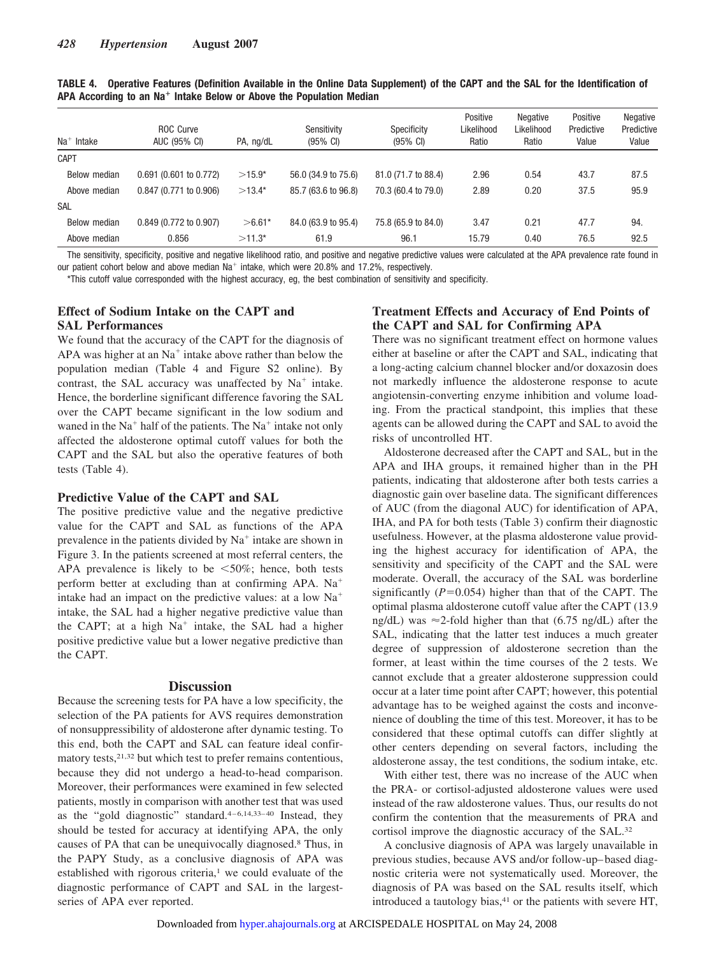| $Na^+$ Intake | ROC Curve<br>AUC (95% CI)  | PA, ng/dL | Sensitivity<br>$(95% \text{ Cl})$ | Specificity<br>$(95% \text{ Cl})$ | Positive<br>Likelihood<br>Ratio | Negative<br>Likelihood<br>Ratio | Positive<br>Predictive<br>Value | Negative<br>Predictive<br>Value |
|---------------|----------------------------|-----------|-----------------------------------|-----------------------------------|---------------------------------|---------------------------------|---------------------------------|---------------------------------|
| CAPT          |                            |           |                                   |                                   |                                 |                                 |                                 |                                 |
| Below median  | $0.691$ (0.601 to 0.772)   | $>15.9*$  | 56.0 (34.9 to 75.6)               | 81.0 (71.7 to 88.4)               | 2.96                            | 0.54                            | 43.7                            | 87.5                            |
| Above median  | $0.847(0.771$ to $0.906$ ) | $>13.4*$  | 85.7 (63.6 to 96.8)               | 70.3 (60.4 to 79.0)               | 2.89                            | 0.20                            | 37.5                            | 95.9                            |
| SAL           |                            |           |                                   |                                   |                                 |                                 |                                 |                                 |
| Below median  | 0.849 (0.772 to 0.907)     | $>6.61*$  | 84.0 (63.9 to 95.4)               | 75.8 (65.9 to 84.0)               | 3.47                            | 0.21                            | 47.7                            | 94.                             |
| Above median  | 0.856                      | $>11.3*$  | 61.9                              | 96.1                              | 15.79                           | 0.40                            | 76.5                            | 92.5                            |

**TABLE 4. Operative Features (Definition Available in the Online Data Supplement) of the CAPT and the SAL for the Identification of** APA According to an Na<sup>+</sup> Intake Below or Above the Population Median

The sensitivity, specificity, positive and negative likelihood ratio, and positive and negative predictive values were calculated at the APA prevalence rate found in our patient cohort below and above median  $Na<sup>+</sup>$  intake, which were 20.8% and 17.2%, respectively.

\*This cutoff value corresponded with the highest accuracy, eg, the best combination of sensitivity and specificity.

## **Effect of Sodium Intake on the CAPT and SAL Performances**

We found that the accuracy of the CAPT for the diagnosis of APA was higher at an  $Na<sup>+</sup>$  intake above rather than below the population median (Table 4 and Figure S2 online). By contrast, the SAL accuracy was unaffected by  $Na<sup>+</sup>$  intake. Hence, the borderline significant difference favoring the SAL over the CAPT became significant in the low sodium and waned in the  $Na<sup>+</sup>$  half of the patients. The  $Na<sup>+</sup>$  intake not only affected the aldosterone optimal cutoff values for both the CAPT and the SAL but also the operative features of both tests (Table 4).

## **Predictive Value of the CAPT and SAL**

The positive predictive value and the negative predictive value for the CAPT and SAL as functions of the APA prevalence in the patients divided by  $Na<sup>+</sup>$  intake are shown in Figure 3. In the patients screened at most referral centers, the APA prevalence is likely to be  $\leq 50\%$ ; hence, both tests perform better at excluding than at confirming APA. Na intake had an impact on the predictive values: at a low Na intake, the SAL had a higher negative predictive value than the CAPT; at a high  $Na<sup>+</sup>$  intake, the SAL had a higher positive predictive value but a lower negative predictive than the CAPT.

#### **Discussion**

Because the screening tests for PA have a low specificity, the selection of the PA patients for AVS requires demonstration of nonsuppressibility of aldosterone after dynamic testing. To this end, both the CAPT and SAL can feature ideal confirmatory tests,21,32 but which test to prefer remains contentious, because they did not undergo a head-to-head comparison. Moreover, their performances were examined in few selected patients, mostly in comparison with another test that was used as the "gold diagnostic" standard.<sup>4-6,14,33-40</sup> Instead, they should be tested for accuracy at identifying APA, the only causes of PA that can be unequivocally diagnosed.8 Thus, in the PAPY Study, as a conclusive diagnosis of APA was established with rigorous criteria,<sup>1</sup> we could evaluate of the diagnostic performance of CAPT and SAL in the largestseries of APA ever reported.

## **Treatment Effects and Accuracy of End Points of the CAPT and SAL for Confirming APA**

There was no significant treatment effect on hormone values either at baseline or after the CAPT and SAL, indicating that a long-acting calcium channel blocker and/or doxazosin does not markedly influence the aldosterone response to acute angiotensin-converting enzyme inhibition and volume loading. From the practical standpoint, this implies that these agents can be allowed during the CAPT and SAL to avoid the risks of uncontrolled HT.

Aldosterone decreased after the CAPT and SAL, but in the APA and IHA groups, it remained higher than in the PH patients, indicating that aldosterone after both tests carries a diagnostic gain over baseline data. The significant differences of AUC (from the diagonal AUC) for identification of APA, IHA, and PA for both tests (Table 3) confirm their diagnostic usefulness. However, at the plasma aldosterone value providing the highest accuracy for identification of APA, the sensitivity and specificity of the CAPT and the SAL were moderate. Overall, the accuracy of the SAL was borderline significantly  $(P=0.054)$  higher than that of the CAPT. The optimal plasma aldosterone cutoff value after the CAPT (13.9 ng/dL) was  $\approx$ 2-fold higher than that (6.75 ng/dL) after the SAL, indicating that the latter test induces a much greater degree of suppression of aldosterone secretion than the former, at least within the time courses of the 2 tests. We cannot exclude that a greater aldosterone suppression could occur at a later time point after CAPT; however, this potential advantage has to be weighed against the costs and inconvenience of doubling the time of this test. Moreover, it has to be considered that these optimal cutoffs can differ slightly at other centers depending on several factors, including the aldosterone assay, the test conditions, the sodium intake, etc.

With either test, there was no increase of the AUC when the PRA- or cortisol-adjusted aldosterone values were used instead of the raw aldosterone values. Thus, our results do not confirm the contention that the measurements of PRA and cortisol improve the diagnostic accuracy of the SAL.32

A conclusive diagnosis of APA was largely unavailable in previous studies, because AVS and/or follow-up– based diagnostic criteria were not systematically used. Moreover, the diagnosis of PA was based on the SAL results itself, which introduced a tautology bias, $41$  or the patients with severe HT,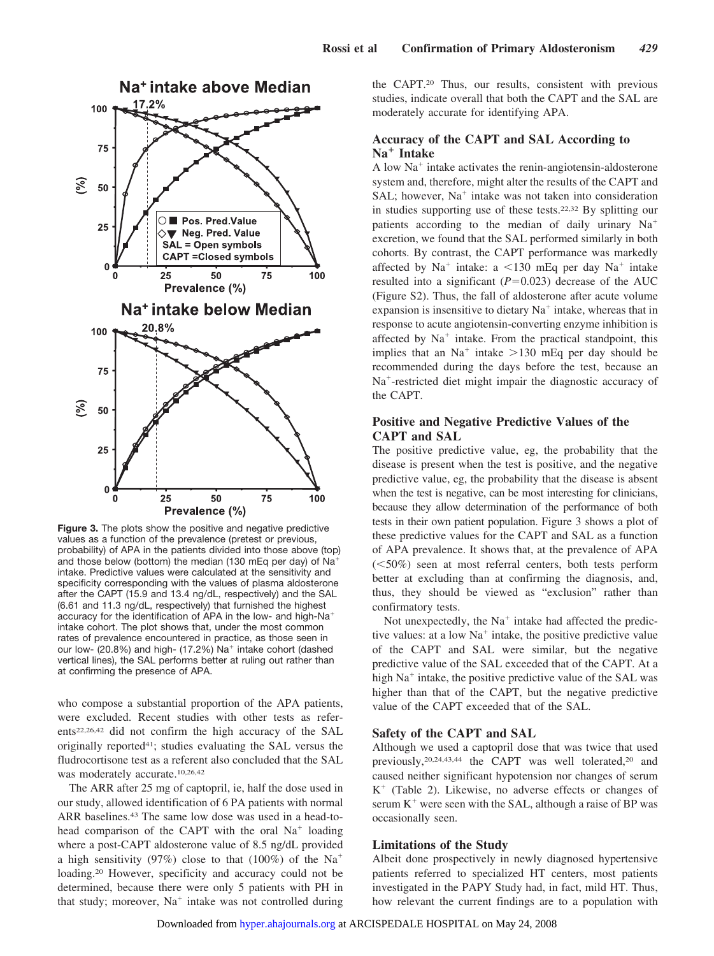

**Figure 3.** The plots show the positive and negative predictive values as a function of the prevalence (pretest or previous, probability) of APA in the patients divided into those above (top) and those below (bottom) the median (130 mEq per day) of Na intake. Predictive values were calculated at the sensitivity and specificity corresponding with the values of plasma aldosterone after the CAPT (15.9 and 13.4 ng/dL, respectively) and the SAL (6.61 and 11.3 ng/dL, respectively) that furnished the highest accuracy for the identification of APA in the low- and high-Na intake cohort. The plot shows that, under the most common rates of prevalence encountered in practice, as those seen in our low- (20.8%) and high- (17.2%)  $Na<sup>+</sup>$  intake cohort (dashed vertical lines), the SAL performs better at ruling out rather than at confirming the presence of APA.

who compose a substantial proportion of the APA patients, were excluded. Recent studies with other tests as referents22,26,42 did not confirm the high accuracy of the SAL originally reported41; studies evaluating the SAL versus the fludrocortisone test as a referent also concluded that the SAL was moderately accurate.<sup>10,26,42</sup>

The ARR after 25 mg of captopril, ie, half the dose used in our study, allowed identification of 6 PA patients with normal ARR baselines.43 The same low dose was used in a head-tohead comparison of the CAPT with the oral  $Na<sup>+</sup>$  loading where a post-CAPT aldosterone value of 8.5 ng/dL provided a high sensitivity (97%) close to that (100%) of the Na<sup>+</sup> loading.<sup>20</sup> However, specificity and accuracy could not be determined, because there were only 5 patients with PH in that study; moreover,  $Na<sup>+</sup>$  intake was not controlled during

the CAPT.20 Thus, our results, consistent with previous studies, indicate overall that both the CAPT and the SAL are moderately accurate for identifying APA.

## **Accuracy of the CAPT and SAL According to Na Intake**

A low  $Na<sup>+</sup>$  intake activates the renin-angiotensin-aldosterone system and, therefore, might alter the results of the CAPT and SAL; however,  $Na<sup>+</sup>$  intake was not taken into consideration in studies supporting use of these tests.22,32 By splitting our patients according to the median of daily urinary Na excretion, we found that the SAL performed similarly in both cohorts. By contrast, the CAPT performance was markedly affected by  $Na^+$  intake: a  $\leq 130$  mEq per day  $Na^+$  intake resulted into a significant  $(P=0.023)$  decrease of the AUC (Figure S2). Thus, the fall of aldosterone after acute volume expansion is insensitive to dietary  $Na<sup>+</sup>$  intake, whereas that in response to acute angiotensin-converting enzyme inhibition is affected by  $Na<sup>+</sup>$  intake. From the practical standpoint, this implies that an  $Na<sup>+</sup>$  intake  $>130$  mEq per day should be recommended during the days before the test, because an Na<sup>+</sup>-restricted diet might impair the diagnostic accuracy of the CAPT.

## **Positive and Negative Predictive Values of the CAPT and SAL**

The positive predictive value, eg, the probability that the disease is present when the test is positive, and the negative predictive value, eg, the probability that the disease is absent when the test is negative, can be most interesting for clinicians, because they allow determination of the performance of both tests in their own patient population. Figure 3 shows a plot of these predictive values for the CAPT and SAL as a function of APA prevalence. It shows that, at the prevalence of APA (50%) seen at most referral centers, both tests perform better at excluding than at confirming the diagnosis, and, thus, they should be viewed as "exclusion" rather than confirmatory tests.

Not unexpectedly, the  $Na<sup>+</sup>$  intake had affected the predictive values: at a low  $Na<sup>+</sup>$  intake, the positive predictive value of the CAPT and SAL were similar, but the negative predictive value of the SAL exceeded that of the CAPT. At a high  $Na<sup>+</sup>$  intake, the positive predictive value of the SAL was higher than that of the CAPT, but the negative predictive value of the CAPT exceeded that of the SAL.

## **Safety of the CAPT and SAL**

Although we used a captopril dose that was twice that used previously,20,24,43,44 the CAPT was well tolerated,20 and caused neither significant hypotension nor changes of serum  $K<sup>+</sup>$  (Table 2). Likewise, no adverse effects or changes of serum  $K<sup>+</sup>$  were seen with the SAL, although a raise of BP was occasionally seen.

## **Limitations of the Study**

Albeit done prospectively in newly diagnosed hypertensive patients referred to specialized HT centers, most patients investigated in the PAPY Study had, in fact, mild HT. Thus, how relevant the current findings are to a population with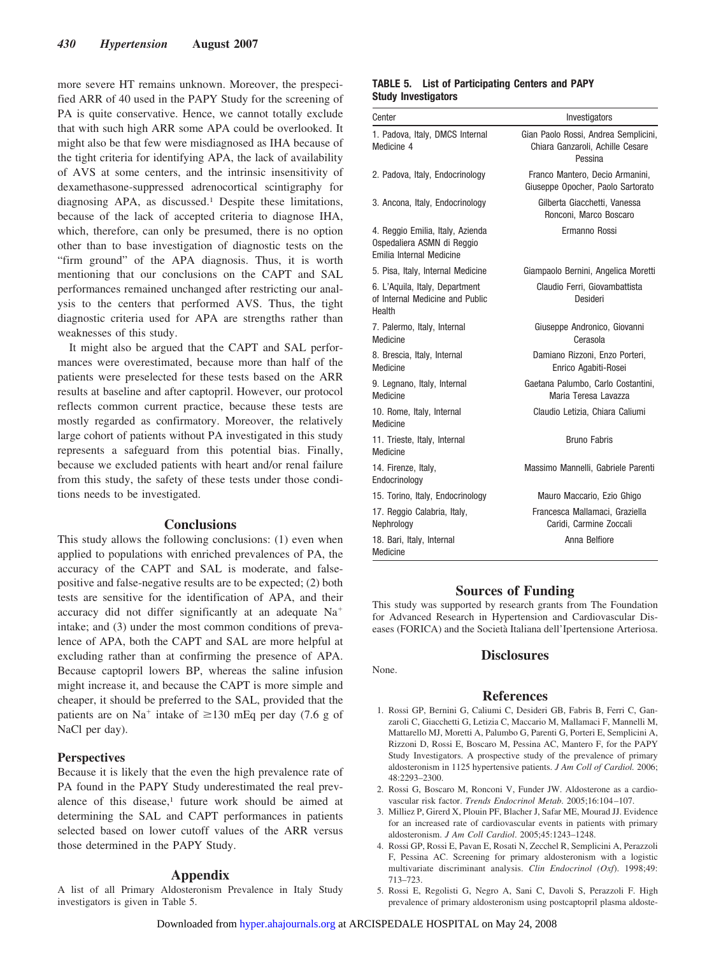more severe HT remains unknown. Moreover, the prespecified ARR of 40 used in the PAPY Study for the screening of PA is quite conservative. Hence, we cannot totally exclude that with such high ARR some APA could be overlooked. It might also be that few were misdiagnosed as IHA because of the tight criteria for identifying APA, the lack of availability of AVS at some centers, and the intrinsic insensitivity of dexamethasone-suppressed adrenocortical scintigraphy for diagnosing APA, as discussed.1 Despite these limitations, because of the lack of accepted criteria to diagnose IHA, which, therefore, can only be presumed, there is no option other than to base investigation of diagnostic tests on the "firm ground" of the APA diagnosis. Thus, it is worth mentioning that our conclusions on the CAPT and SAL performances remained unchanged after restricting our analysis to the centers that performed AVS. Thus, the tight diagnostic criteria used for APA are strengths rather than weaknesses of this study.

It might also be argued that the CAPT and SAL performances were overestimated, because more than half of the patients were preselected for these tests based on the ARR results at baseline and after captopril. However, our protocol reflects common current practice, because these tests are mostly regarded as confirmatory. Moreover, the relatively large cohort of patients without PA investigated in this study represents a safeguard from this potential bias. Finally, because we excluded patients with heart and/or renal failure from this study, the safety of these tests under those conditions needs to be investigated.

#### **Conclusions**

This study allows the following conclusions: (1) even when applied to populations with enriched prevalences of PA, the accuracy of the CAPT and SAL is moderate, and falsepositive and false-negative results are to be expected; (2) both tests are sensitive for the identification of APA, and their accuracy did not differ significantly at an adequate Na intake; and (3) under the most common conditions of prevalence of APA, both the CAPT and SAL are more helpful at excluding rather than at confirming the presence of APA. Because captopril lowers BP, whereas the saline infusion might increase it, and because the CAPT is more simple and cheaper, it should be preferred to the SAL, provided that the patients are on Na<sup>+</sup> intake of  $\geq$ 130 mEq per day (7.6 g of NaCl per day).

#### **Perspectives**

Because it is likely that the even the high prevalence rate of PA found in the PAPY Study underestimated the real prevalence of this disease, $1$  future work should be aimed at determining the SAL and CAPT performances in patients selected based on lower cutoff values of the ARR versus those determined in the PAPY Study.

#### **Appendix**

A list of all Primary Aldosteronism Prevalence in Italy Study investigators is given in Table 5.

## **TABLE 5. List of Participating Centers and PAPY Study Investigators**

| Center                                                                                     | Investigators                                                                       |
|--------------------------------------------------------------------------------------------|-------------------------------------------------------------------------------------|
| 1. Padova, Italy, DMCS Internal<br>Medicine 4                                              | Gian Paolo Rossi, Andrea Semplicini,<br>Chiara Ganzaroli, Achille Cesare<br>Pessina |
| 2. Padova, Italy, Endocrinology                                                            | Franco Mantero, Decio Armanini,<br>Giuseppe Opocher, Paolo Sartorato                |
| 3. Ancona, Italy, Endocrinology                                                            | Gilberta Giacchetti, Vanessa<br>Ronconi, Marco Boscaro                              |
| 4. Reggio Emilia, Italy, Azienda<br>Ospedaliera ASMN di Reggio<br>Emilia Internal Medicine | Ermanno Rossi                                                                       |
| 5. Pisa, Italy, Internal Medicine                                                          | Giampaolo Bernini, Angelica Moretti                                                 |
| 6. L'Aquila, Italy, Department<br>of Internal Medicine and Public<br>Health                | Claudio Ferri, Giovambattista<br>Desideri                                           |
| 7. Palermo, Italy, Internal<br>Medicine                                                    | Giuseppe Andronico, Giovanni<br>Cerasola                                            |
| 8. Brescia, Italy, Internal<br>Medicine                                                    | Damiano Rizzoni, Enzo Porteri,<br>Enrico Agabiti-Rosei                              |
| 9. Legnano, Italy, Internal<br>Medicine                                                    | Gaetana Palumbo, Carlo Costantini,<br>Maria Teresa Lavazza                          |
| 10. Rome, Italy, Internal<br>Medicine                                                      | Claudio Letizia, Chiara Caliumi                                                     |
| 11. Trieste, Italy, Internal<br>Medicine                                                   | <b>Bruno Fabris</b>                                                                 |
| 14. Firenze, Italy,<br>Endocrinology                                                       | Massimo Mannelli, Gabriele Parenti                                                  |
| 15. Torino, Italy, Endocrinology                                                           | Mauro Maccario, Ezio Ghigo                                                          |
| 17. Reggio Calabria, Italy,<br>Nephrology                                                  | Francesca Mallamaci, Graziella<br>Caridi, Carmine Zoccali                           |
| 18. Bari, Italy, Internal<br>Medicine                                                      | Anna Belfiore                                                                       |

#### **Sources of Funding**

This study was supported by research grants from The Foundation for Advanced Research in Hypertension and Cardiovascular Diseases (FORICA) and the Societa` Italiana dell'Ipertensione Arteriosa.

## **Disclosures**

## **References**

- 1. Rossi GP, Bernini G, Caliumi C, Desideri GB, Fabris B, Ferri C, Ganzaroli C, Giacchetti G, Letizia C, Maccario M, Mallamaci F, Mannelli M, Mattarello MJ, Moretti A, Palumbo G, Parenti G, Porteri E, Semplicini A, Rizzoni D, Rossi E, Boscaro M, Pessina AC, Mantero F, for the PAPY Study Investigators. A prospective study of the prevalence of primary aldosteronism in 1125 hypertensive patients. *J Am Coll of Cardiol.* 2006; 48:2293–2300.
- 2. Rossi G, Boscaro M, Ronconi V, Funder JW. Aldosterone as a cardiovascular risk factor. *Trends Endocrinol Metab*. 2005;16:104 –107.
- 3. Milliez P, Girerd X, Plouin PF, Blacher J, Safar ME, Mourad JJ. Evidence for an increased rate of cardiovascular events in patients with primary aldosteronism. *J Am Coll Cardiol*. 2005;45:1243–1248.
- 4. Rossi GP, Rossi E, Pavan E, Rosati N, Zecchel R, Semplicini A, Perazzoli F, Pessina AC. Screening for primary aldosteronism with a logistic multivariate discriminant analysis. *Clin Endocrinol (Oxf*). 1998;49: 713–723.
- 5. Rossi E, Regolisti G, Negro A, Sani C, Davoli S, Perazzoli F. High prevalence of primary aldosteronism using postcaptopril plasma aldoste-

None.